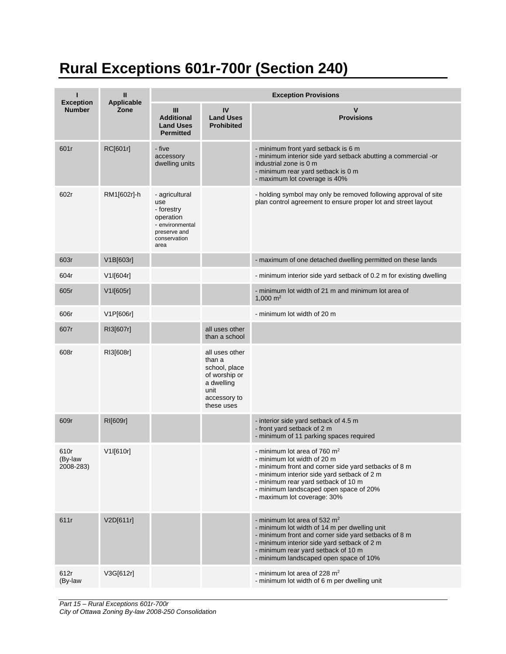## **Rural Exceptions 601r-700r (Section 240)**

|                                   | Ш                         | <b>Exception Provisions</b>                                                                                 |                                                                                                                |                                                                                                                                                                                                                                                                                      |  |  |
|-----------------------------------|---------------------------|-------------------------------------------------------------------------------------------------------------|----------------------------------------------------------------------------------------------------------------|--------------------------------------------------------------------------------------------------------------------------------------------------------------------------------------------------------------------------------------------------------------------------------------|--|--|
| <b>Exception</b><br><b>Number</b> | <b>Applicable</b><br>Zone | Ш<br><b>Additional</b><br><b>Land Uses</b><br><b>Permitted</b>                                              | IV<br><b>Land Uses</b><br><b>Prohibited</b>                                                                    | $\mathbf v$<br><b>Provisions</b>                                                                                                                                                                                                                                                     |  |  |
| 601r                              | RC[601r]                  | - five<br>accessory<br>dwelling units                                                                       |                                                                                                                | - minimum front yard setback is 6 m<br>- minimum interior side yard setback abutting a commercial -or<br>industrial zone is 0 m<br>- minimum rear yard setback is 0 m<br>- maximum lot coverage is 40%                                                                               |  |  |
| 602r                              | RM1[602r]-h               | - agricultural<br>use<br>- forestry<br>operation<br>- environmental<br>preserve and<br>conservation<br>area |                                                                                                                | - holding symbol may only be removed following approval of site<br>plan control agreement to ensure proper lot and street layout                                                                                                                                                     |  |  |
| 603r                              | V1B[603r]                 |                                                                                                             |                                                                                                                | - maximum of one detached dwelling permitted on these lands                                                                                                                                                                                                                          |  |  |
| 604r                              | V1I[604r]                 |                                                                                                             |                                                                                                                | - minimum interior side yard setback of 0.2 m for existing dwelling                                                                                                                                                                                                                  |  |  |
| 605r                              | V1I[605r]                 |                                                                                                             |                                                                                                                | - minimum lot width of 21 m and minimum lot area of<br>1,000 $m2$                                                                                                                                                                                                                    |  |  |
| 606r                              | V1P[606r]                 |                                                                                                             |                                                                                                                | - minimum lot width of 20 m                                                                                                                                                                                                                                                          |  |  |
| 607r                              | RI3[607r]                 |                                                                                                             | all uses other<br>than a school                                                                                |                                                                                                                                                                                                                                                                                      |  |  |
| 608r                              | RI3[608r]                 |                                                                                                             | all uses other<br>than a<br>school, place<br>of worship or<br>a dwelling<br>unit<br>accessory to<br>these uses |                                                                                                                                                                                                                                                                                      |  |  |
| 609r                              | RI[609r]                  |                                                                                                             |                                                                                                                | - interior side yard setback of 4.5 m<br>- front yard setback of 2 m<br>- minimum of 11 parking spaces required                                                                                                                                                                      |  |  |
| 610r<br>(By-law<br>2008-283)      | V1I[610r]                 |                                                                                                             |                                                                                                                | - minimum lot area of 760 $m2$<br>- minimum lot width of 20 m<br>- minimum front and corner side yard setbacks of 8 m<br>- minimum interior side yard setback of 2 m<br>- minimum rear yard setback of 10 m<br>- minimum landscaped open space of 20%<br>- maximum lot coverage: 30% |  |  |
| 611r                              | V2D[611r]                 |                                                                                                             |                                                                                                                | - minimum lot area of 532 $m2$<br>- minimum lot width of 14 m per dwelling unit<br>- minimum front and corner side yard setbacks of 8 m<br>- minimum interior side yard setback of 2 m<br>- minimum rear yard setback of 10 m<br>- minimum landscaped open space of 10%              |  |  |
| 612r<br>(By-law                   | V3G[612r]                 |                                                                                                             |                                                                                                                | - minimum lot area of 228 $m2$<br>- minimum lot width of 6 m per dwelling unit                                                                                                                                                                                                       |  |  |

*Part 15 – Rural Exceptions 601r-700r City of Ottawa Zoning By-law 2008-250 Consolidation*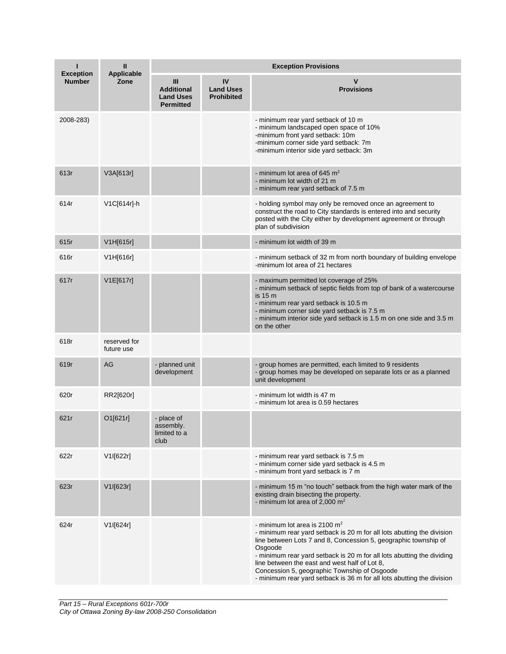|                                   | Ш                          | <b>Exception Provisions</b>                                    |                                             |                                                                                                                                                                                                                                                                                                                                                                                                                                              |  |
|-----------------------------------|----------------------------|----------------------------------------------------------------|---------------------------------------------|----------------------------------------------------------------------------------------------------------------------------------------------------------------------------------------------------------------------------------------------------------------------------------------------------------------------------------------------------------------------------------------------------------------------------------------------|--|
| <b>Exception</b><br><b>Number</b> | Applicable<br>Zone         | Ш<br><b>Additional</b><br><b>Land Uses</b><br><b>Permitted</b> | IV<br><b>Land Uses</b><br><b>Prohibited</b> | v<br><b>Provisions</b>                                                                                                                                                                                                                                                                                                                                                                                                                       |  |
| 2008-283)                         |                            |                                                                |                                             | - minimum rear yard setback of 10 m<br>- minimum landscaped open space of 10%<br>-minimum front yard setback: 10m<br>-minimum corner side yard setback: 7m<br>-minimum interior side yard setback: 3m                                                                                                                                                                                                                                        |  |
| 613r                              | V3A[613r]                  |                                                                |                                             | - minimum lot area of 645 $m2$<br>- minimum lot width of 21 m<br>- minimum rear yard setback of 7.5 m                                                                                                                                                                                                                                                                                                                                        |  |
| 614r                              | V1C[614r]-h                |                                                                |                                             | - holding symbol may only be removed once an agreement to<br>construct the road to City standards is entered into and security<br>posted with the City either by development agreement or through<br>plan of subdivision                                                                                                                                                                                                                     |  |
| 615r                              | V1H[615r]                  |                                                                |                                             | - minimum lot width of 39 m                                                                                                                                                                                                                                                                                                                                                                                                                  |  |
| 616r                              | V1H[616r]                  |                                                                |                                             | - minimum setback of 32 m from north boundary of building envelope<br>-minimum lot area of 21 hectares                                                                                                                                                                                                                                                                                                                                       |  |
| 617r                              | V1E[617r]                  |                                                                |                                             | - maximum permitted lot coverage of 25%<br>- minimum setback of septic fields from top of bank of a watercourse<br>is 15 m<br>- minimum rear yard setback is 10.5 m<br>- minimum corner side yard setback is 7.5 m<br>- minimum interior side yard setback is 1.5 m on one side and 3.5 m<br>on the other                                                                                                                                    |  |
| 618r                              | reserved for<br>future use |                                                                |                                             |                                                                                                                                                                                                                                                                                                                                                                                                                                              |  |
| 619r                              | AG                         | - planned unit<br>development                                  |                                             | - group homes are permitted, each limited to 9 residents<br>- group homes may be developed on separate lots or as a planned<br>unit development                                                                                                                                                                                                                                                                                              |  |
| 620r                              | RR2[620r]                  |                                                                |                                             | - minimum lot width is 47 m<br>- minimum lot area is 0.59 hectares                                                                                                                                                                                                                                                                                                                                                                           |  |
| 621r                              | O1[621r]                   | - place of<br>assembly.<br>limited to a<br>club                |                                             |                                                                                                                                                                                                                                                                                                                                                                                                                                              |  |
| 622r                              | V1I[622r]                  |                                                                |                                             | - minimum rear yard setback is 7.5 m<br>- minimum corner side yard setback is 4.5 m<br>- minimum front yard setback is 7 m                                                                                                                                                                                                                                                                                                                   |  |
| 623r                              | V1I[623r]                  |                                                                |                                             | - minimum 15 m "no touch" setback from the high water mark of the<br>existing drain bisecting the property.<br>- minimum lot area of 2,000 $m2$                                                                                                                                                                                                                                                                                              |  |
| 624r                              | V1I[624r]                  |                                                                |                                             | - minimum lot area is 2100 $m2$<br>- minimum rear yard setback is 20 m for all lots abutting the division<br>line between Lots 7 and 8, Concession 5, geographic township of<br>Osgoode<br>- minimum rear yard setback is 20 m for all lots abutting the dividing<br>line between the east and west half of Lot 8,<br>Concession 5, geographic Township of Osgoode<br>- minimum rear yard setback is 36 m for all lots abutting the division |  |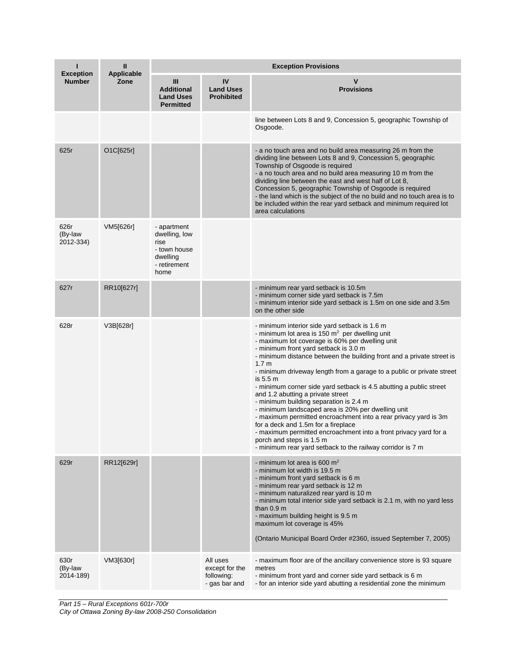| ı<br><b>Exception</b>        | Ш                         | <b>Exception Provisions</b>                                                              |                                                           |                                                                                                                                                                                                                                                                                                                                                                                                                                                                                                                                                                                                                                                                                                                                                                                                                                                                              |  |  |
|------------------------------|---------------------------|------------------------------------------------------------------------------------------|-----------------------------------------------------------|------------------------------------------------------------------------------------------------------------------------------------------------------------------------------------------------------------------------------------------------------------------------------------------------------------------------------------------------------------------------------------------------------------------------------------------------------------------------------------------------------------------------------------------------------------------------------------------------------------------------------------------------------------------------------------------------------------------------------------------------------------------------------------------------------------------------------------------------------------------------------|--|--|
| <b>Number</b>                | <b>Applicable</b><br>Zone | Ш<br><b>Additional</b><br><b>Land Uses</b><br><b>Permitted</b>                           | IV<br><b>Land Uses</b><br><b>Prohibited</b>               | v<br><b>Provisions</b>                                                                                                                                                                                                                                                                                                                                                                                                                                                                                                                                                                                                                                                                                                                                                                                                                                                       |  |  |
|                              |                           |                                                                                          |                                                           | line between Lots 8 and 9, Concession 5, geographic Township of<br>Osgoode.                                                                                                                                                                                                                                                                                                                                                                                                                                                                                                                                                                                                                                                                                                                                                                                                  |  |  |
| 625r                         | O1C[625r]                 |                                                                                          |                                                           | - a no touch area and no build area measuring 26 m from the<br>dividing line between Lots 8 and 9, Concession 5, geographic<br>Township of Osgoode is required<br>- a no touch area and no build area measuring 10 m from the<br>dividing line between the east and west half of Lot 8,<br>Concession 5, geographic Township of Osgoode is required<br>- the land which is the subject of the no build and no touch area is to<br>be included within the rear yard setback and minimum required lot<br>area calculations                                                                                                                                                                                                                                                                                                                                                     |  |  |
| 626r<br>(By-law<br>2012-334) | VM5[626r]                 | - apartment<br>dwelling, low<br>rise<br>- town house<br>dwelling<br>- retirement<br>home |                                                           |                                                                                                                                                                                                                                                                                                                                                                                                                                                                                                                                                                                                                                                                                                                                                                                                                                                                              |  |  |
| 627r                         | RR10[627r]                |                                                                                          |                                                           | - minimum rear yard setback is 10.5m<br>- minimum corner side yard setback is 7.5m<br>- minimum interior side yard setback is 1.5m on one side and 3.5m<br>on the other side                                                                                                                                                                                                                                                                                                                                                                                                                                                                                                                                                                                                                                                                                                 |  |  |
| 628r                         | V3B[628r]                 |                                                                                          |                                                           | - minimum interior side yard setback is 1.6 m<br>- minimum lot area is 150 m <sup>2</sup> per dwelling unit<br>- maximum lot coverage is 60% per dwelling unit<br>- minimum front yard setback is 3.0 m<br>- minimum distance between the building front and a private street is<br>1.7 <sub>m</sub><br>- minimum driveway length from a garage to a public or private street<br>is 5.5 m<br>- minimum corner side yard setback is 4.5 abutting a public street<br>and 1.2 abutting a private street<br>- minimum building separation is 2.4 m<br>- minimum landscaped area is 20% per dwelling unit<br>- maximum permitted encroachment into a rear privacy yard is 3m<br>for a deck and 1.5m for a fireplace<br>- maximum permitted encroachment into a front privacy yard for a<br>porch and steps is 1.5 m<br>- minimum rear yard setback to the railway corridor is 7 m |  |  |
| 629r                         | RR12[629r]                |                                                                                          |                                                           | - minimum lot area is 600 m <sup>2</sup><br>- minimum lot width is 19.5 m<br>- minimum front yard setback is 6 m<br>- minimum rear yard setback is 12 m<br>- minimum naturalized rear yard is 10 m<br>- minimum total interior side yard setback is 2.1 m, with no yard less<br>than $0.9 \text{ m}$<br>- maximum building height is 9.5 m<br>maximum lot coverage is 45%<br>(Ontario Municipal Board Order #2360, issued September 7, 2005)                                                                                                                                                                                                                                                                                                                                                                                                                                 |  |  |
| 630r<br>(By-law<br>2014-189) | VM3[630r]                 |                                                                                          | All uses<br>except for the<br>following:<br>- gas bar and | - maximum floor are of the ancillary convenience store is 93 square<br>metres<br>- minimum front yard and corner side yard setback is 6 m<br>- for an interior side yard abutting a residential zone the minimum                                                                                                                                                                                                                                                                                                                                                                                                                                                                                                                                                                                                                                                             |  |  |

*Part 15 – Rural Exceptions 601r-700r*

*City of Ottawa Zoning By-law 2008-250 Consolidation*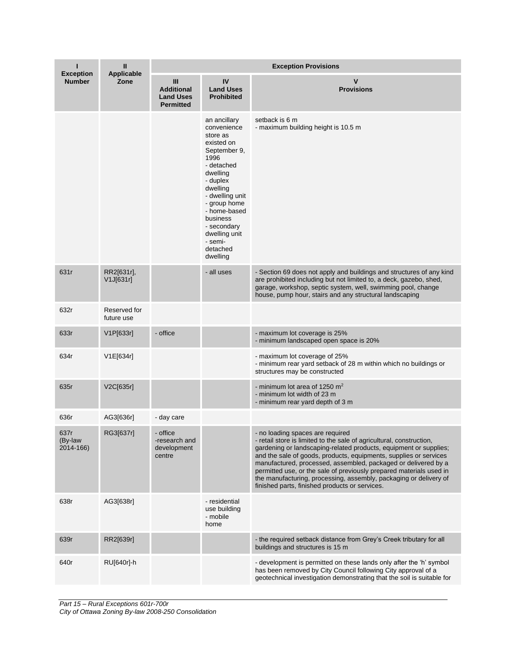| ı                                 | Ш<br><b>Applicable</b>     | <b>Exception Provisions</b>                                      |                                                                                                                                                                                                                                                                   |                                                                                                                                                                                                                                                                                                                                                                                                                                                                                                                    |  |
|-----------------------------------|----------------------------|------------------------------------------------------------------|-------------------------------------------------------------------------------------------------------------------------------------------------------------------------------------------------------------------------------------------------------------------|--------------------------------------------------------------------------------------------------------------------------------------------------------------------------------------------------------------------------------------------------------------------------------------------------------------------------------------------------------------------------------------------------------------------------------------------------------------------------------------------------------------------|--|
| <b>Exception</b><br><b>Number</b> | Zone                       | III<br><b>Additional</b><br><b>Land Uses</b><br><b>Permitted</b> | IV<br><b>Land Uses</b><br><b>Prohibited</b>                                                                                                                                                                                                                       | V<br><b>Provisions</b>                                                                                                                                                                                                                                                                                                                                                                                                                                                                                             |  |
|                                   |                            |                                                                  | an ancillary<br>convenience<br>store as<br>existed on<br>September 9,<br>1996<br>- detached<br>dwelling<br>- duplex<br>dwelling<br>- dwelling unit<br>- group home<br>- home-based<br>business<br>- secondary<br>dwelling unit<br>- semi-<br>detached<br>dwelling | setback is 6 m<br>- maximum building height is 10.5 m                                                                                                                                                                                                                                                                                                                                                                                                                                                              |  |
| 631r                              | RR2[631r],<br>V1J[631r]    |                                                                  | - all uses                                                                                                                                                                                                                                                        | - Section 69 does not apply and buildings and structures of any kind<br>are prohibited including but not limited to, a deck, gazebo, shed,<br>garage, workshop, septic system, well, swimming pool, change<br>house, pump hour, stairs and any structural landscaping                                                                                                                                                                                                                                              |  |
| 632r                              | Reserved for<br>future use |                                                                  |                                                                                                                                                                                                                                                                   |                                                                                                                                                                                                                                                                                                                                                                                                                                                                                                                    |  |
| 633r                              | V1P[633r]                  | - office                                                         |                                                                                                                                                                                                                                                                   | - maximum lot coverage is 25%<br>- minimum landscaped open space is 20%                                                                                                                                                                                                                                                                                                                                                                                                                                            |  |
| 634r                              | V1E[634r]                  |                                                                  |                                                                                                                                                                                                                                                                   | - maximum lot coverage of 25%<br>- minimum rear yard setback of 28 m within which no buildings or<br>structures may be constructed                                                                                                                                                                                                                                                                                                                                                                                 |  |
| 635r                              | V2C[635r]                  |                                                                  |                                                                                                                                                                                                                                                                   | - minimum lot area of 1250 $m2$<br>- minimum lot width of 23 m<br>- minimum rear yard depth of 3 m                                                                                                                                                                                                                                                                                                                                                                                                                 |  |
| 636r                              | AG3[636r]                  | - day care                                                       |                                                                                                                                                                                                                                                                   |                                                                                                                                                                                                                                                                                                                                                                                                                                                                                                                    |  |
| 637r<br>(By-law<br>2014-166)      | RG3[637r]                  | - office<br>-research and<br>development<br>centre               |                                                                                                                                                                                                                                                                   | - no loading spaces are required<br>- retail store is limited to the sale of agricultural, construction,<br>gardening or landscaping-related products, equipment or supplies;<br>and the sale of goods, products, equipments, supplies or services<br>manufactured, processed, assembled, packaged or delivered by a<br>permitted use, or the sale of previously prepared materials used in<br>the manufacturing, processing, assembly, packaging or delivery of<br>finished parts, finished products or services. |  |
| 638r                              | AG3[638r]                  |                                                                  | - residential<br>use building<br>- mobile<br>home                                                                                                                                                                                                                 |                                                                                                                                                                                                                                                                                                                                                                                                                                                                                                                    |  |
| 639r                              | RR2[639r]                  |                                                                  |                                                                                                                                                                                                                                                                   | - the required setback distance from Grey's Creek tributary for all<br>buildings and structures is 15 m                                                                                                                                                                                                                                                                                                                                                                                                            |  |
| 640r                              | RU[640r]-h                 |                                                                  |                                                                                                                                                                                                                                                                   | - development is permitted on these lands only after the 'h' symbol<br>has been removed by City Council following City approval of a<br>geotechnical investigation demonstrating that the soil is suitable for                                                                                                                                                                                                                                                                                                     |  |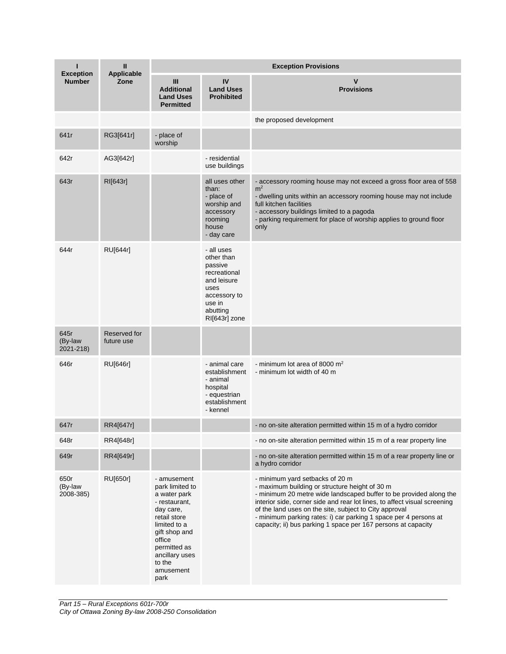| п                                 | Ш                          | <b>Exception Provisions</b>                                                                                                                                                                              |                                                                                                                                   |                                                                                                                                                                                                                                                                                                                                                                                                                                     |  |
|-----------------------------------|----------------------------|----------------------------------------------------------------------------------------------------------------------------------------------------------------------------------------------------------|-----------------------------------------------------------------------------------------------------------------------------------|-------------------------------------------------------------------------------------------------------------------------------------------------------------------------------------------------------------------------------------------------------------------------------------------------------------------------------------------------------------------------------------------------------------------------------------|--|
| <b>Exception</b><br><b>Number</b> | <b>Applicable</b><br>Zone  | Ш<br><b>Additional</b><br><b>Land Uses</b><br><b>Permitted</b>                                                                                                                                           | IV<br><b>Land Uses</b><br><b>Prohibited</b>                                                                                       | V<br><b>Provisions</b>                                                                                                                                                                                                                                                                                                                                                                                                              |  |
|                                   |                            |                                                                                                                                                                                                          |                                                                                                                                   | the proposed development                                                                                                                                                                                                                                                                                                                                                                                                            |  |
| 641r                              | RG3[641r]                  | - place of<br>worship                                                                                                                                                                                    |                                                                                                                                   |                                                                                                                                                                                                                                                                                                                                                                                                                                     |  |
| 642r                              | AG3[642r]                  |                                                                                                                                                                                                          | - residential<br>use buildings                                                                                                    |                                                                                                                                                                                                                                                                                                                                                                                                                                     |  |
| 643r                              | RI[643r]                   |                                                                                                                                                                                                          | all uses other<br>than:<br>- place of<br>worship and<br>accessory<br>rooming<br>house<br>- day care                               | - accessory rooming house may not exceed a gross floor area of 558<br>m <sup>2</sup><br>- dwelling units within an accessory rooming house may not include<br>full kitchen facilities<br>- accessory buildings limited to a pagoda<br>- parking requirement for place of worship applies to ground floor<br>only                                                                                                                    |  |
| 644r                              | <b>RU[644r]</b>            |                                                                                                                                                                                                          | - all uses<br>other than<br>passive<br>recreational<br>and leisure<br>uses<br>accessory to<br>use in<br>abutting<br>RI[643r] zone |                                                                                                                                                                                                                                                                                                                                                                                                                                     |  |
| 645r<br>(By-law<br>2021-218)      | Reserved for<br>future use |                                                                                                                                                                                                          |                                                                                                                                   |                                                                                                                                                                                                                                                                                                                                                                                                                                     |  |
| 646r                              | <b>RU[646r]</b>            |                                                                                                                                                                                                          | - animal care<br>establishment<br>- animal<br>hospital<br>- equestrian<br>establishment<br>- kennel                               | - minimum lot area of 8000 $m2$<br>- minimum lot width of 40 m                                                                                                                                                                                                                                                                                                                                                                      |  |
| 647r                              | RR4[647r]                  |                                                                                                                                                                                                          |                                                                                                                                   | - no on-site alteration permitted within 15 m of a hydro corridor                                                                                                                                                                                                                                                                                                                                                                   |  |
| 648r                              | RR4[648r]                  |                                                                                                                                                                                                          |                                                                                                                                   | - no on-site alteration permitted within 15 m of a rear property line                                                                                                                                                                                                                                                                                                                                                               |  |
| 649r                              | RR4[649r]                  |                                                                                                                                                                                                          |                                                                                                                                   | - no on-site alteration permitted within 15 m of a rear property line or<br>a hydro corridor                                                                                                                                                                                                                                                                                                                                        |  |
| 650r<br>(By-law<br>2008-385)      | RU[650r]                   | - amusement<br>park limited to<br>a water park<br>- restaurant,<br>day care,<br>retail store<br>limited to a<br>gift shop and<br>office<br>permitted as<br>ancillary uses<br>to the<br>amusement<br>park |                                                                                                                                   | - minimum yard setbacks of 20 m<br>- maximum building or structure height of 30 m<br>- minimum 20 metre wide landscaped buffer to be provided along the<br>interior side, corner side and rear lot lines, to affect visual screening<br>of the land uses on the site, subject to City approval<br>- minimum parking rates: i) car parking 1 space per 4 persons at<br>capacity; ii) bus parking 1 space per 167 persons at capacity |  |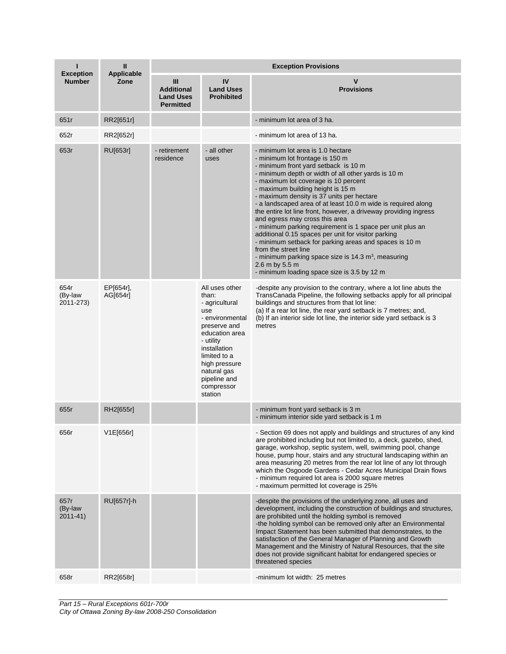| П                                 | Ш<br><b>Applicable</b><br>Zone | <b>Exception Provisions</b>                                    |                                                                                                                                                                                                                             |                                                                                                                                                                                                                                                                                                                                                                                                                                                                                                                                                                                                                                                                                                                                                                                                                  |  |  |
|-----------------------------------|--------------------------------|----------------------------------------------------------------|-----------------------------------------------------------------------------------------------------------------------------------------------------------------------------------------------------------------------------|------------------------------------------------------------------------------------------------------------------------------------------------------------------------------------------------------------------------------------------------------------------------------------------------------------------------------------------------------------------------------------------------------------------------------------------------------------------------------------------------------------------------------------------------------------------------------------------------------------------------------------------------------------------------------------------------------------------------------------------------------------------------------------------------------------------|--|--|
| <b>Exception</b><br><b>Number</b> |                                | Ш<br><b>Additional</b><br><b>Land Uses</b><br><b>Permitted</b> | IV<br><b>Land Uses</b><br><b>Prohibited</b>                                                                                                                                                                                 | v<br><b>Provisions</b>                                                                                                                                                                                                                                                                                                                                                                                                                                                                                                                                                                                                                                                                                                                                                                                           |  |  |
| 651r                              | RR2[651r]                      |                                                                |                                                                                                                                                                                                                             | - minimum lot area of 3 ha.                                                                                                                                                                                                                                                                                                                                                                                                                                                                                                                                                                                                                                                                                                                                                                                      |  |  |
| 652r                              | RR2[652r]                      |                                                                |                                                                                                                                                                                                                             | - minimum lot area of 13 ha.                                                                                                                                                                                                                                                                                                                                                                                                                                                                                                                                                                                                                                                                                                                                                                                     |  |  |
| 653r                              | RU[653r]                       | - retirement<br>residence                                      | - all other<br>uses                                                                                                                                                                                                         | - minimum lot area is 1.0 hectare<br>- minimum lot frontage is 150 m<br>- minimum front yard setback is 10 m<br>- minimum depth or width of all other yards is 10 m<br>- maximum lot coverage is 10 percent<br>- maximum building height is 15 m<br>- maximum density is 37 units per hectare<br>- a landscaped area of at least 10.0 m wide is required along<br>the entire lot line front, however, a driveway providing ingress<br>and egress may cross this area<br>- minimum parking requirement is 1 space per unit plus an<br>additional 0.15 spaces per unit for visitor parking<br>- minimum setback for parking areas and spaces is 10 m<br>from the street line<br>- minimum parking space size is $14.3$ m <sup>3</sup> , measuring<br>2.6 m by 5.5 m<br>- minimum loading space size is 3.5 by 12 m |  |  |
| 654r<br>(By-law<br>2011-273)      | EP[654r],<br>AG[654r]          |                                                                | All uses other<br>than:<br>- agricultural<br>use<br>- environmental<br>preserve and<br>education area<br>- utility<br>installation<br>limited to a<br>high pressure<br>natural gas<br>pipeline and<br>compressor<br>station | -despite any provision to the contrary, where a lot line abuts the<br>TransCanada Pipeline, the following setbacks apply for all principal<br>buildings and structures from that lot line:<br>(a) If a rear lot line, the rear yard setback is 7 metres; and,<br>(b) If an interior side lot line, the interior side yard setback is 3<br>metres                                                                                                                                                                                                                                                                                                                                                                                                                                                                 |  |  |
| 655r                              | RH2[655r]                      |                                                                |                                                                                                                                                                                                                             | - minimum front yard setback is 3 m<br>- minimum interior side yard setback is 1 m                                                                                                                                                                                                                                                                                                                                                                                                                                                                                                                                                                                                                                                                                                                               |  |  |
| 656r                              | V1E[656r]                      |                                                                |                                                                                                                                                                                                                             | - Section 69 does not apply and buildings and structures of any kind<br>are prohibited including but not limited to, a deck, gazebo, shed,<br>garage, workshop, septic system, well, swimming pool, change<br>house, pump hour, stairs and any structural landscaping within an<br>area measuring 20 metres from the rear lot line of any lot through<br>which the Osgoode Gardens - Cedar Acres Municipal Drain flows<br>- minimum required lot area is 2000 square metres<br>- maximum permitted lot coverage is 25%                                                                                                                                                                                                                                                                                           |  |  |
| 657r<br>(By-law<br>$2011 - 41$    | RU[657r]-h                     |                                                                |                                                                                                                                                                                                                             | -despite the provisions of the underlying zone, all uses and<br>development, including the construction of buildings and structures,<br>are prohibited until the holding symbol is removed<br>-the holding symbol can be removed only after an Environmental<br>Impact Statement has been submitted that demonstrates, to the<br>satisfaction of the General Manager of Planning and Growth<br>Management and the Ministry of Natural Resources, that the site<br>does not provide significant habitat for endangered species or<br>threatened species                                                                                                                                                                                                                                                           |  |  |
| 658r                              | RR2[658r]                      |                                                                |                                                                                                                                                                                                                             | -minimum lot width: 25 metres                                                                                                                                                                                                                                                                                                                                                                                                                                                                                                                                                                                                                                                                                                                                                                                    |  |  |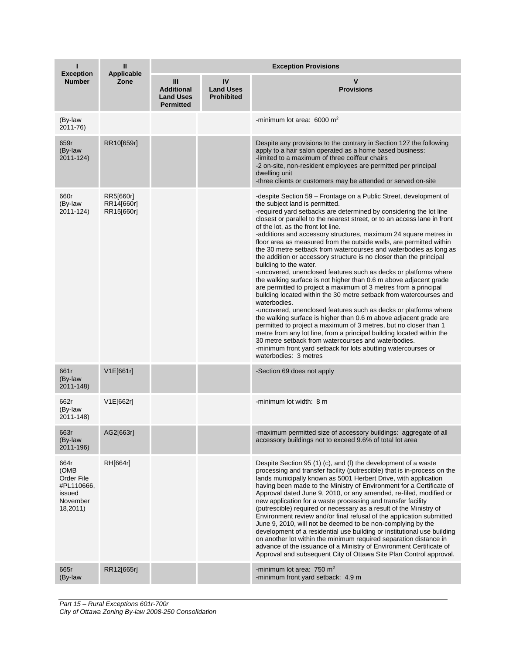|                                                                            | Ш<br><b>Applicable</b>                | <b>Exception Provisions</b>                                    |                                             |                                                                                                                                                                                                                                                                                                                                                                                                                                                                                                                                                                                                                                                                                                                                                                                                                                                                                                                                                                                                                                                                                                                                                                                                                                                                                                                                                       |  |  |
|----------------------------------------------------------------------------|---------------------------------------|----------------------------------------------------------------|---------------------------------------------|-------------------------------------------------------------------------------------------------------------------------------------------------------------------------------------------------------------------------------------------------------------------------------------------------------------------------------------------------------------------------------------------------------------------------------------------------------------------------------------------------------------------------------------------------------------------------------------------------------------------------------------------------------------------------------------------------------------------------------------------------------------------------------------------------------------------------------------------------------------------------------------------------------------------------------------------------------------------------------------------------------------------------------------------------------------------------------------------------------------------------------------------------------------------------------------------------------------------------------------------------------------------------------------------------------------------------------------------------------|--|--|
| <b>Exception</b><br><b>Number</b>                                          | Zone                                  | Ш<br><b>Additional</b><br><b>Land Uses</b><br><b>Permitted</b> | IV<br><b>Land Uses</b><br><b>Prohibited</b> | v<br><b>Provisions</b>                                                                                                                                                                                                                                                                                                                                                                                                                                                                                                                                                                                                                                                                                                                                                                                                                                                                                                                                                                                                                                                                                                                                                                                                                                                                                                                                |  |  |
| (By-law<br>2011-76)                                                        |                                       |                                                                |                                             | -minimum lot area: $6000 \text{ m}^2$                                                                                                                                                                                                                                                                                                                                                                                                                                                                                                                                                                                                                                                                                                                                                                                                                                                                                                                                                                                                                                                                                                                                                                                                                                                                                                                 |  |  |
| 659r<br>(By-law<br>2011-124)                                               | RR10[659r]                            |                                                                |                                             | Despite any provisions to the contrary in Section 127 the following<br>apply to a hair salon operated as a home based business:<br>-limited to a maximum of three coiffeur chairs<br>-2 on-site, non-resident employees are permitted per principal<br>dwelling unit<br>-three clients or customers may be attended or served on-site                                                                                                                                                                                                                                                                                                                                                                                                                                                                                                                                                                                                                                                                                                                                                                                                                                                                                                                                                                                                                 |  |  |
| 660r<br>(By-law<br>2011-124)                                               | RR5[660r]<br>RR14[660r]<br>RR15[660r] |                                                                |                                             | -despite Section 59 – Frontage on a Public Street, development of<br>the subject land is permitted.<br>-required yard setbacks are determined by considering the lot line<br>closest or parallel to the nearest street, or to an access lane in front<br>of the lot, as the front lot line.<br>-additions and accessory structures, maximum 24 square metres in<br>floor area as measured from the outside walls, are permitted within<br>the 30 metre setback from watercourses and waterbodies as long as<br>the addition or accessory structure is no closer than the principal<br>building to the water.<br>-uncovered, unenclosed features such as decks or platforms where<br>the walking surface is not higher than 0.6 m above adjacent grade<br>are permitted to project a maximum of 3 metres from a principal<br>building located within the 30 metre setback from watercourses and<br>waterbodies.<br>-uncovered, unenclosed features such as decks or platforms where<br>the walking surface is higher than 0.6 m above adjacent grade are<br>permitted to project a maximum of 3 metres, but no closer than 1<br>metre from any lot line, from a principal building located within the<br>30 metre setback from watercourses and waterbodies.<br>-minimum front yard setback for lots abutting watercourses or<br>waterbodies: 3 metres |  |  |
| 661r<br>(By-law<br>2011-148)                                               | V1E[661r]                             |                                                                |                                             | -Section 69 does not apply                                                                                                                                                                                                                                                                                                                                                                                                                                                                                                                                                                                                                                                                                                                                                                                                                                                                                                                                                                                                                                                                                                                                                                                                                                                                                                                            |  |  |
| 662r<br>(By-law<br>2011-148)                                               | V1E[662r]                             |                                                                |                                             | -minimum lot width: 8 m                                                                                                                                                                                                                                                                                                                                                                                                                                                                                                                                                                                                                                                                                                                                                                                                                                                                                                                                                                                                                                                                                                                                                                                                                                                                                                                               |  |  |
| 663r<br>(By-law<br>2011-196)                                               | AG2[663r]                             |                                                                |                                             | -maximum permitted size of accessory buildings: aggregate of all<br>accessory buildings not to exceed 9.6% of total lot area                                                                                                                                                                                                                                                                                                                                                                                                                                                                                                                                                                                                                                                                                                                                                                                                                                                                                                                                                                                                                                                                                                                                                                                                                          |  |  |
| 664r<br>(OMB<br>Order File<br>#PL110666,<br>issued<br>November<br>18,2011) | RH[664r]                              |                                                                |                                             | Despite Section 95 (1) (c), and (f) the development of a waste<br>processing and transfer facility (putrescible) that is in-process on the<br>lands municipally known as 5001 Herbert Drive, with application<br>having been made to the Ministry of Environment for a Certificate of<br>Approval dated June 9, 2010, or any amended, re-filed, modified or<br>new application for a waste processing and transfer facility<br>(putrescible) required or necessary as a result of the Ministry of<br>Environment review and/or final refusal of the application submitted<br>June 9, 2010, will not be deemed to be non-complying by the<br>development of a residential use building or institutional use building<br>on another lot within the minimum required separation distance in<br>advance of the issuance of a Ministry of Environment Certificate of<br>Approval and subsequent City of Ottawa Site Plan Control approval.                                                                                                                                                                                                                                                                                                                                                                                                                 |  |  |
| 665r<br>(By-law                                                            | RR12[665r]                            |                                                                |                                             | -minimum lot area: 750 $m2$<br>-minimum front yard setback: 4.9 m                                                                                                                                                                                                                                                                                                                                                                                                                                                                                                                                                                                                                                                                                                                                                                                                                                                                                                                                                                                                                                                                                                                                                                                                                                                                                     |  |  |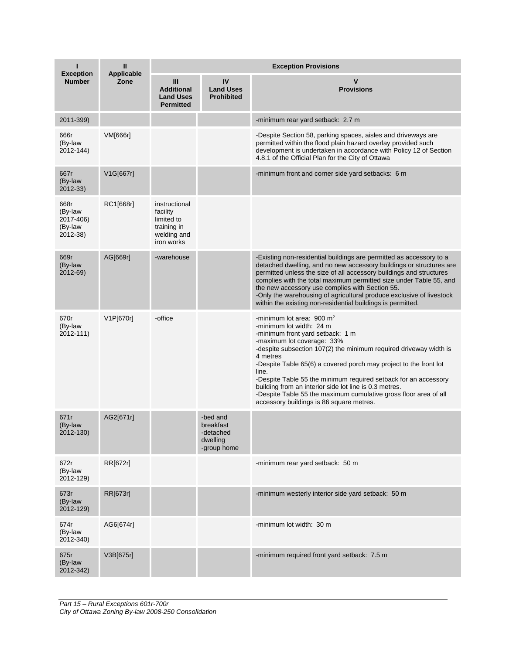| ı                                                   | Ш                         | <b>Exception Provisions</b>                                                         |                                                               |                                                                                                                                                                                                                                                                                                                                                                                                                                                                                                                                       |  |  |
|-----------------------------------------------------|---------------------------|-------------------------------------------------------------------------------------|---------------------------------------------------------------|---------------------------------------------------------------------------------------------------------------------------------------------------------------------------------------------------------------------------------------------------------------------------------------------------------------------------------------------------------------------------------------------------------------------------------------------------------------------------------------------------------------------------------------|--|--|
| <b>Exception</b><br><b>Number</b>                   | <b>Applicable</b><br>Zone | Ш<br><b>Additional</b><br><b>Land Uses</b><br><b>Permitted</b>                      | IV<br><b>Land Uses</b><br><b>Prohibited</b>                   | V<br><b>Provisions</b>                                                                                                                                                                                                                                                                                                                                                                                                                                                                                                                |  |  |
| 2011-399)                                           |                           |                                                                                     |                                                               | -minimum rear yard setback: 2.7 m                                                                                                                                                                                                                                                                                                                                                                                                                                                                                                     |  |  |
| 666r<br>(By-law<br>2012-144)                        | <b>VM[666r]</b>           |                                                                                     |                                                               | -Despite Section 58, parking spaces, aisles and driveways are<br>permitted within the flood plain hazard overlay provided such<br>development is undertaken in accordance with Policy 12 of Section<br>4.8.1 of the Official Plan for the City of Ottawa                                                                                                                                                                                                                                                                              |  |  |
| 667r<br>(By-law<br>2012-33)                         | V1G[667r]                 |                                                                                     |                                                               | -minimum front and corner side yard setbacks: 6 m                                                                                                                                                                                                                                                                                                                                                                                                                                                                                     |  |  |
| 668r<br>(By-law<br>2017-406)<br>(By-law<br>2012-38) | RC1[668r]                 | instructional<br>facility<br>limited to<br>training in<br>welding and<br>iron works |                                                               |                                                                                                                                                                                                                                                                                                                                                                                                                                                                                                                                       |  |  |
| 669r<br>(By-law<br>2012-69)                         | AG[669r]                  | -warehouse                                                                          |                                                               | -Existing non-residential buildings are permitted as accessory to a<br>detached dwelling, and no new accessory buildings or structures are<br>permitted unless the size of all accessory buildings and structures<br>complies with the total maximum permitted size under Table 55, and<br>the new accessory use complies with Section 55.<br>-Only the warehousing of agricultural produce exclusive of livestock<br>within the existing non-residential buildings is permitted.                                                     |  |  |
| 670r<br>(By-law<br>2012-111)                        | V1P[670r]                 | -office                                                                             |                                                               | -minimum lot area: 900 $m2$<br>-minimum lot width: 24 m<br>-minimum front yard setback: 1 m<br>-maximum lot coverage: 33%<br>-despite subsection 107(2) the minimum required driveway width is<br>4 metres<br>-Despite Table 65(6) a covered porch may project to the front lot<br>line.<br>-Despite Table 55 the minimum required setback for an accessory<br>building from an interior side lot line is 0.3 metres.<br>-Despite Table 55 the maximum cumulative gross floor area of all<br>accessory buildings is 86 square metres. |  |  |
| 671r<br>(By-law<br>2012-130)                        | AG2[671r]                 |                                                                                     | -bed and<br>breakfast<br>-detached<br>dwelling<br>-group home |                                                                                                                                                                                                                                                                                                                                                                                                                                                                                                                                       |  |  |
| 672r<br>(By-law<br>2012-129)                        | RR[672r]                  |                                                                                     |                                                               | -minimum rear yard setback: 50 m                                                                                                                                                                                                                                                                                                                                                                                                                                                                                                      |  |  |
| 673r<br>(By-law<br>2012-129)                        | RR[673r]                  |                                                                                     |                                                               | -minimum westerly interior side yard setback: 50 m                                                                                                                                                                                                                                                                                                                                                                                                                                                                                    |  |  |
| 674r<br>(By-law<br>2012-340)                        | AG6[674r]                 |                                                                                     |                                                               | -minimum lot width: 30 m                                                                                                                                                                                                                                                                                                                                                                                                                                                                                                              |  |  |
| 675r<br>(By-law<br>2012-342)                        | V3B[675r]                 |                                                                                     |                                                               | -minimum required front yard setback: 7.5 m                                                                                                                                                                                                                                                                                                                                                                                                                                                                                           |  |  |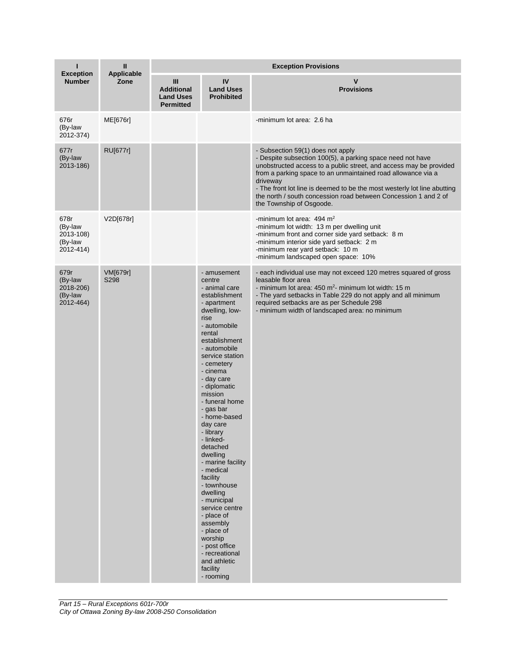| ı                                                    | Ш                         | <b>Exception Provisions</b>                                    |                                                                                                                                                                                                                                                                                                                                                                                                                                                                                                                                                                                                         |                                                                                                                                                                                                                                                                                                                                                                                                                              |  |
|------------------------------------------------------|---------------------------|----------------------------------------------------------------|---------------------------------------------------------------------------------------------------------------------------------------------------------------------------------------------------------------------------------------------------------------------------------------------------------------------------------------------------------------------------------------------------------------------------------------------------------------------------------------------------------------------------------------------------------------------------------------------------------|------------------------------------------------------------------------------------------------------------------------------------------------------------------------------------------------------------------------------------------------------------------------------------------------------------------------------------------------------------------------------------------------------------------------------|--|
| <b>Exception</b><br><b>Number</b>                    | <b>Applicable</b><br>Zone | Ш<br><b>Additional</b><br><b>Land Uses</b><br><b>Permitted</b> | IV<br><b>Land Uses</b><br><b>Prohibited</b>                                                                                                                                                                                                                                                                                                                                                                                                                                                                                                                                                             | v<br><b>Provisions</b>                                                                                                                                                                                                                                                                                                                                                                                                       |  |
| 676r<br>(By-law<br>2012-374)                         | ME[676r]                  |                                                                |                                                                                                                                                                                                                                                                                                                                                                                                                                                                                                                                                                                                         | -minimum lot area: 2.6 ha                                                                                                                                                                                                                                                                                                                                                                                                    |  |
| 677r<br>(By-law<br>2013-186)                         | RU[677r]                  |                                                                |                                                                                                                                                                                                                                                                                                                                                                                                                                                                                                                                                                                                         | - Subsection 59(1) does not apply<br>- Despite subsection 100(5), a parking space need not have<br>unobstructed access to a public street, and access may be provided<br>from a parking space to an unmaintained road allowance via a<br>driveway<br>- The front lot line is deemed to be the most westerly lot line abutting<br>the north / south concession road between Concession 1 and 2 of<br>the Township of Osgoode. |  |
| 678r<br>(By-law<br>2013-108)<br>(By-law<br>2012-414) | V2D[678r]                 |                                                                |                                                                                                                                                                                                                                                                                                                                                                                                                                                                                                                                                                                                         | -minimum lot area: $494 \text{ m}^2$<br>-minimum lot width: 13 m per dwelling unit<br>-minimum front and corner side yard setback: 8 m<br>-minimum interior side yard setback: 2 m<br>-minimum rear yard setback: 10 m<br>-minimum landscaped open space: 10%                                                                                                                                                                |  |
| 679r<br>(By-law<br>2018-206)<br>(By-law<br>2012-464) | VM[679r]<br>S298          |                                                                | - amusement<br>centre<br>- animal care<br>establishment<br>- apartment<br>dwelling, low-<br>rise<br>- automobile<br>rental<br>establishment<br>- automobile<br>service station<br>- cemetery<br>- cinema<br>- day care<br>- diplomatic<br>mission<br>- funeral home<br>- gas bar<br>- home-based<br>day care<br>- library<br>- linked-<br>detached<br>dwelling<br>- marine facility<br>- medical<br>facility<br>- townhouse<br>dwelling<br>- municipal<br>service centre<br>- place of<br>assembly<br>- place of<br>worship<br>- post office<br>- recreational<br>and athletic<br>facility<br>- rooming | - each individual use may not exceed 120 metres squared of gross<br>leasable floor area<br>- minimum lot area: $450$ m <sup>2</sup> - minimum lot width: 15 m<br>- The yard setbacks in Table 229 do not apply and all minimum<br>required setbacks are as per Schedule 298<br>- minimum width of landscaped area: no minimum                                                                                                |  |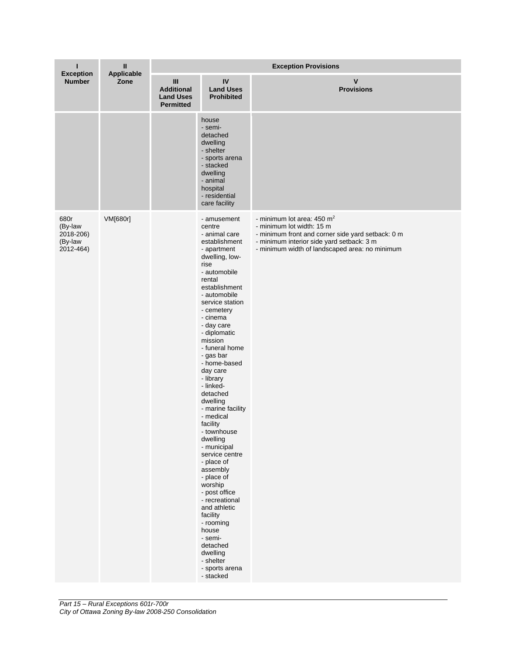| ı<br><b>Exception</b>                                | Ш<br>Applicable<br>Zone | <b>Exception Provisions</b>                                                 |                                                                                                                                                                                                                                                                                                                                                                                                                                                                                                                                                                                                                                                                                                 |                                                                                                                                                                                                                        |  |  |
|------------------------------------------------------|-------------------------|-----------------------------------------------------------------------------|-------------------------------------------------------------------------------------------------------------------------------------------------------------------------------------------------------------------------------------------------------------------------------------------------------------------------------------------------------------------------------------------------------------------------------------------------------------------------------------------------------------------------------------------------------------------------------------------------------------------------------------------------------------------------------------------------|------------------------------------------------------------------------------------------------------------------------------------------------------------------------------------------------------------------------|--|--|
| <b>Number</b>                                        |                         | $\mathbf{III}$<br><b>Additional</b><br><b>Land Uses</b><br><b>Permitted</b> | IV<br><b>Land Uses</b><br><b>Prohibited</b>                                                                                                                                                                                                                                                                                                                                                                                                                                                                                                                                                                                                                                                     | $\mathsf{v}$<br><b>Provisions</b>                                                                                                                                                                                      |  |  |
|                                                      |                         |                                                                             | house<br>- semi-<br>detached<br>dwelling<br>- shelter<br>- sports arena<br>- stacked<br>dwelling<br>- animal<br>hospital<br>- residential<br>care facility                                                                                                                                                                                                                                                                                                                                                                                                                                                                                                                                      |                                                                                                                                                                                                                        |  |  |
| 680r<br>(By-law<br>2018-206)<br>(By-law<br>2012-464) | VM[680r]                |                                                                             | - amusement<br>centre<br>- animal care<br>establishment<br>- apartment<br>dwelling, low-<br>rise<br>- automobile<br>rental<br>establishment<br>- automobile<br>service station<br>- cemetery<br>- cinema<br>- day care<br>- diplomatic<br>mission<br>- funeral home<br>- gas bar<br>- home-based<br>day care<br>- library<br>- linked-<br>detached<br>dwelling<br>- marine facility<br>- medical<br>facility<br>- townnouse<br>dwelling<br>- municipal<br>service centre<br>- place of<br>assembly<br>- place of<br>worship<br>- post office<br>- recreational<br>and athletic<br>facility<br>- rooming<br>house<br>- semi-<br>detached<br>dwelling<br>- shelter<br>- sports arena<br>- stacked | - minimum lot area: $450 \text{ m}^2$<br>- minimum lot width: 15 m<br>- minimum front and corner side yard setback: 0 m<br>- minimum interior side yard setback: 3 m<br>- minimum width of landscaped area: no minimum |  |  |